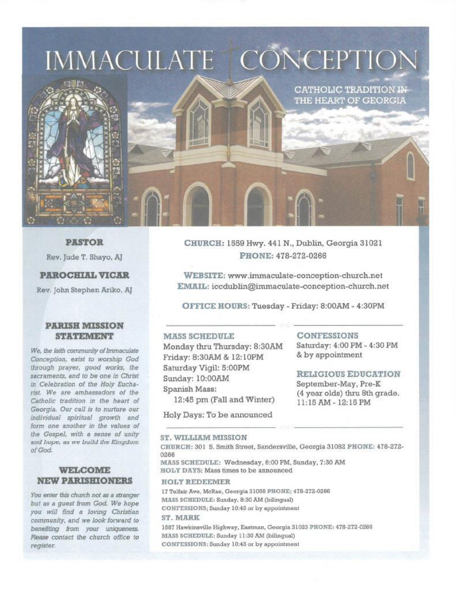## IMMACULATE CONCEPTION



**PASTOR** 

Rev. Jude T. Shayo, AJ

#### **PAROCHIAL VICAR**

Rev. John Stephen Ariko, AJ

#### **PARISH MISSION STATEMENT**

We, the faith community of Immaculate Conception, exist to worship God through prayer, good works, the sacraments, and to be one in Christ in Celebration of the Holy Eucharist. We are ambassadors of the Catholic tradition in the heart of Georgia. Our call is to nurture our individual spiritual growth and form one another in the values of the Gospel, with a sense of unity and hope, as we build the Kingdom of God.

#### **WELCOME NEW PARISHIONERS**

You enter this church not as a stranger but as a quest from God. We hope you will find a loving Christian community, and we look forward to benefiting from your uniqueness. Please contact the church office to register.

CHURCH: 1559 Hwy. 441 N., Dublin, Georgia 31021 PHONE: 478-272-0266

WEBSITE: www.immaculate-conception-church.net EMAIL: iccdublin@immaculate-conception-church.net

OFFICE HOURS: Tuesday - Friday: 8:00AM - 4:30PM

#### **MASS SCHEDULE**

Monday thru Thursday: 8:30AM Friday: 8:30AM & 12:10PM Saturday Vigil: 5:00PM Sunday: 10:00AM Spanish Mass: 12:45 pm (Fall and Winter)

Holy Days: To be announced

#### **CONFESSIONS**

Saturday: 4:00 PM - 4:30 PM & by appointment

**CATHOLIC TRADITION IN-**THE HEART OF GEORGIA

#### **RELIGIOUS EDUCATION**

September-May, Pre-K (4 year olds) thru 8th grade. 11:15 AM - 12:15 PM

#### ST. WILLIAM MISSION

CHURCH: 301 S. Smith Street, Sandersville, Georgia 31082 PHONE; 478-272-0266

MASS SCHEDULE: Wednesday, 6:00 PM, Sunday, 7:30 AM HOLY DAYS: Mass times to be announced

#### **HOLY REDEEMER**

17 Telfair Ave, McRae, Georgia 31055 PHONE; 478-272-0266 MASS SCHEDULE: Sunday, 8:30 AM (bilingual) CONFESSIONS; Sunday 10:45 or by appointment ST MARK

1687 Hawkinsville Highway, Eastman, Georgia 31023 PHONE: 478-272-0266 MASS SCHEDULE: Sunday 11:30 AM (bilingual) CONFESSIONS: Sunday 10:45 or by appointment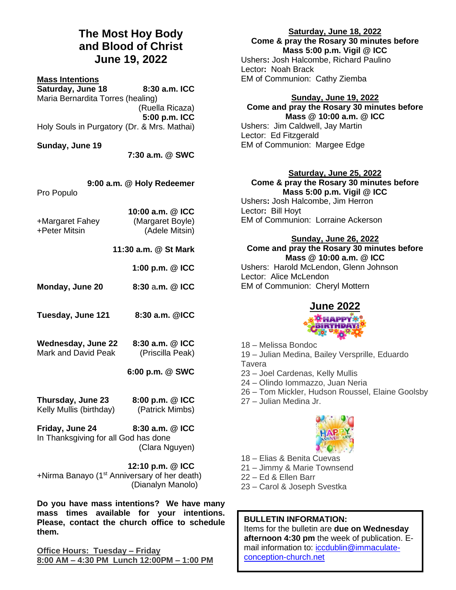## **The Most Hoy Body and Blood of Christ June 19, 2022**

#### **Mass Intentions**

**Saturday, June 18 8:30 a.m. ICC** Maria Bernardita Torres (healing) (Ruella Ricaza) **5:00 p.m. ICC** Holy Souls in Purgatory (Dr. & Mrs. Mathai)

**Sunday, June 19**

**7:30 a.m. @ SWC**

|  |  | 9:00 a.m. @ Holy Redeemer |
|--|--|---------------------------|
|--|--|---------------------------|

Pro Populo

| 10:00 a.m. @ ICC |
|------------------|
| (Margaret Boyle) |
| (Adele Mitsin)   |
|                  |

**11:30 a.m. @ St Mark**

**1:00 p.m. @ ICC**

- **Monday, June 20 8:30** a**.m. @ ICC**
- **Tuesday, June 121 8:30 a.m. @ICC**
- **Wednesday, June 22 8:30 a.m. @ ICC** Mark and David Peak (Priscilla Peak)

**6:00 p.m. @ SWC**

**Thursday, June 23 8:00 p.m. @ ICC** Kelly Mullis (birthday) (Patrick Mimbs)

**Friday, June 24 8:30 a.m. @ ICC** In Thanksgiving for all God has done (Clara Nguyen)

**12:10 p.m. @ ICC** +Nirma Banayo (1st Anniversary of her death) (Dianalyn Manolo)

**Do you have mass intentions? We have many mass times available for your intentions. Please, contact the church office to schedule them.**

**Office Hours: Tuesday – Friday 8:00 AM – 4:30 PM Lunch 12:00PM – 1:00 PM** **Saturday, June 18, 2022**

**Come & pray the Rosary 30 minutes before Mass 5:00 p.m. Vigil @ ICC**

Ushers**:** Josh Halcombe, Richard Paulino Lector**:** Noah Brack EM of Communion: Cathy Ziemba

## **Sunday, June 19, 2022 Come and pray the Rosary 30 minutes before**

**Mass @ 10:00 a.m. @ ICC** Ushers:Jim Caldwell, Jay Martin Lector: Ed Fitzgerald EM of Communion: Margee Edge

## **Saturday, June 25, 2022 Come & pray the Rosary 30 minutes before**

**Mass 5:00 p.m. Vigil @ ICC** Ushers**:** Josh Halcombe, Jim Herron Lector**:** Bill Hoyt EM of Communion: Lorraine Ackerson

## **Sunday, June 26, 2022**

#### **Come and pray the Rosary 30 minutes before Mass @ 10:00 a.m. @ ICC**

Ushers:Harold McLendon, Glenn Johnson Lector: Alice McLendon EM of Communion: Cheryl Mottern

# **June 2022**

18 – Melissa Bondoc

19 – Julian Medina, Bailey Versprille, Eduardo Tavera

- 23 Joel Cardenas, Kelly Mullis
- 24 Olindo Iommazzo, Juan Neria
- 26 Tom Mickler, Hudson Roussel, Elaine Goolsby
- 27 Julian Medina Jr.



- 18 Elias & Benita Cuevas
- 21 Jimmy & Marie Townsend
- 22 Ed & Ellen Barr
- 23 Carol & Joseph Svestka

## **BULLETIN INFORMATION:**

Items for the bulletin are **due on Wednesday afternoon 4:30 pm** the week of publication. Email information to: [iccdublin@immaculate](mailto:iccdublin@immaculate-conception-church.net)[conception-church.net](mailto:iccdublin@immaculate-conception-church.net)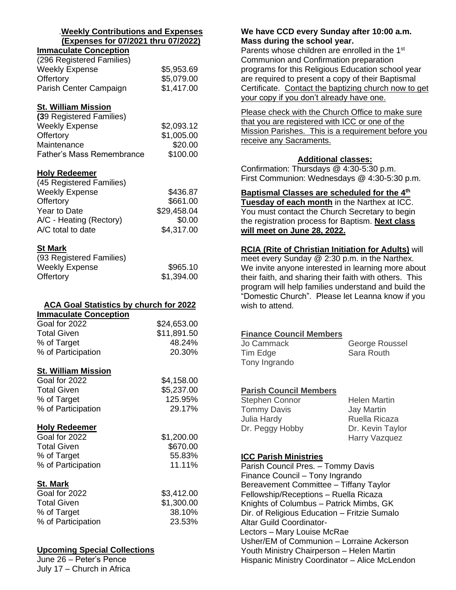#### .**Weekly Contributions and Expenses (Expenses for 07/2021 thru 07/2022)**

## **Immaculate Conception** (296 Registered Families) Weekly Expense \$5,953.69

| Offertory              | \$5,079.00 |
|------------------------|------------|
| Parish Center Campaign | \$1,417.00 |
|                        |            |

## **St. William Mission**

| (39 Registered Families)         |            |
|----------------------------------|------------|
| <b>Weekly Expense</b>            | \$2,093.12 |
| Offertory                        | \$1,005.00 |
| Maintenance                      | \$20.00    |
| <b>Father's Mass Remembrance</b> | \$100.00   |

## **Holy Redeemer**

| (45 Registered Families) |             |
|--------------------------|-------------|
| <b>Weekly Expense</b>    | \$436.87    |
| Offertory                | \$661.00    |
| Year to Date             | \$29,458.04 |
| A/C - Heating (Rectory)  | \$0.00      |
| A/C total to date        | \$4,317.00  |

## **St Mark**

| (93 Registered Families) |            |
|--------------------------|------------|
| <b>Weekly Expense</b>    | \$965.10   |
| Offertory                | \$1,394.00 |

## **ACA Goal Statistics by church for 2022**

| <b>Immaculate Conception</b> |             |
|------------------------------|-------------|
| Goal for 2022                | \$24,653.00 |
| <b>Total Given</b>           | \$11,891.50 |
| % of Target                  | 48.24%      |
| % of Participation           | 20.30%      |
|                              |             |

## **St. William Mission**

| Goal for 2022      | \$4,158.00 |
|--------------------|------------|
| <b>Total Given</b> | \$5,237.00 |
| % of Target        | 125.95%    |
| % of Participation | 29.17%     |
|                    |            |

## **Holy Redeemer**

| Goal for 2022      | \$1,200.00 |
|--------------------|------------|
| <b>Total Given</b> | \$670.00   |
| % of Target        | 55.83%     |
| % of Participation | 11.11%     |
|                    |            |

## **St. Mark**

| Goal for 2022      | \$3,412.00 |
|--------------------|------------|
| <b>Total Given</b> | \$1,300.00 |
| % of Target        | 38.10%     |
| % of Participation | 23.53%     |

## **Upcoming Special Collections**

June 26 – Peter's Pence July 17 – Church in Africa

## **We have CCD every Sunday after 10:00 a.m. Mass during the school year.**

Parents whose children are enrolled in the 1<sup>st</sup> Communion and Confirmation preparation programs for this Religious Education school year are required to present a copy of their Baptismal Certificate. Contact the baptizing church now to get your copy if you don't already have one.

Please check with the Church Office to make sure that you are registered with ICC or one of the Mission Parishes. This is a requirement before you receive any Sacraments.

## **Additional classes:**

Confirmation: Thursdays @ 4:30-5:30 p.m. First Communion: Wednesdays @ 4:30-5:30 p.m.

**Baptismal Classes are scheduled for the 4th**

**Tuesday of each month** in the Narthex at ICC. You must contact the Church Secretary to begin the registration process for Baptism. **Next class will meet on June 28, 2022.**

## **RCIA (Rite of Christian Initiation for Adults)** will

meet every Sunday @ 2:30 p.m. in the Narthex. We invite anyone interested in learning more about their faith, and sharing their faith with others. This program will help families understand and build the "Domestic Church". Please let Leanna know if you wish to attend.

## **Finance Council Members**

| Jo Cammack    | George Roussel |
|---------------|----------------|
| Tim Edge      | Sara Routh     |
| Tony Ingrando |                |

## **Parish Council Members**

| Stephen Connor     | <b>Helen Martin</b> |
|--------------------|---------------------|
| <b>Tommy Davis</b> | <b>Jay Martin</b>   |
| Julia Hardy        | Ruella Ricaza       |
| Dr. Peggy Hobby    | Dr. Kevin Taylor    |
|                    | Harry Vazquez       |

## **ICC Parish Ministries**

Parish Council Pres. – Tommy Davis Finance Council – Tony Ingrando Bereavement Committee – Tiffany Taylor Fellowship/Receptions – Ruella Ricaza Knights of Columbus – Patrick Mimbs, GK Dir. of Religious Education – Fritzie Sumalo Altar Guild Coordinator-Lectors – Mary Louise McRae Usher/EM of Communion – Lorraine Ackerson Youth Ministry Chairperson – Helen Martin Hispanic Ministry Coordinator – Alice McLendon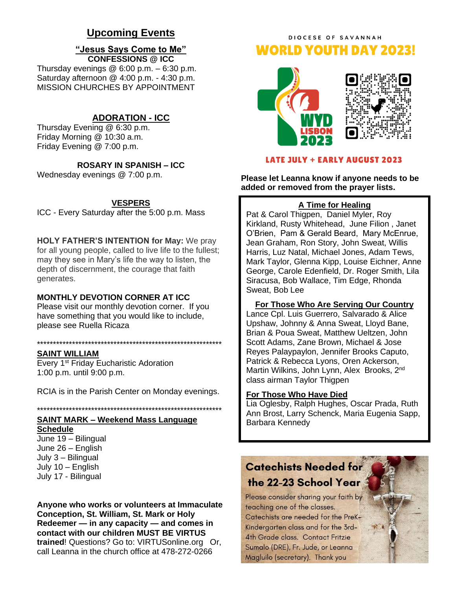## **Upcoming Events**

#### **"Jesus Says Come to Me" CONFESSIONS @ ICC**

Thursday evenings  $@6:00 p.m. - 6:30 p.m.$ Saturday afternoon @ 4:00 p.m. - 4:30 p.m. MISSION CHURCHES BY APPOINTMENT

#### **ADORATION - ICC**

Thursday Evening @ 6:30 p.m. Friday Morning @ 10:30 a.m. Friday Evening @ 7:00 p.m.

## **ROSARY IN SPANISH – ICC**

Wednesday evenings @ 7:00 p.m.

#### **VESPERS**

ICC - Every Saturday after the 5:00 p.m. Mass

**HOLY FATHER'S INTENTION for May:** We pray for all young people, called to live life to the fullest; may they see in Mary's life the way to listen, the depth of discernment, the courage that faith generates.

#### **MONTHLY DEVOTION CORNER AT ICC**

Please visit our monthly devotion corner. If you have something that you would like to include, please see Ruella Ricaza

#### \*\*\*\*\*\*\*\*\*\*\*\*\*\*\*\*\*\*\*\*\*\*\*\*\*\*\*\*\*\*\*\*\*\*\*\*\*\*\*\*\*\*\*\*\*\*\*\*\*\*\*\*\*\*\*\*\*\*

#### **SAINT WILLIAM**

Every 1<sup>st</sup> Friday Eucharistic Adoration 1:00 p.m. until 9:00 p.m.

RCIA is in the Parish Center on Monday evenings.

\*\*\*\*\*\*\*\*\*\*\*\*\*\*\*\*\*\*\*\*\*\*\*\*\*\*\*\*\*\*\*\*\*\*\*\*\*\*\*\*\*\*\*\*\*\*\*\*\*\*\*\*\*\*\*\*\*\*

## **SAINT MARK – Weekend Mass Language**

**Schedule** June 19 – Bilingual June 26 – English July 3 – Bilingual July 10 – English July 17 - Bilingual

**Anyone who works or volunteers at Immaculate Conception, St. William, St. Mark or Holy Redeemer — in any capacity — and comes in contact with our children MUST BE VIRTUS trained**! Questions? Go to: VIRTUSonline.org Or, call Leanna in the church office at 478-272-0266

## DIOCESE OF SAVANNAH **WORLD YOUTH DAY 2023!**





#### **LATE JULY + EARLY AUGUST 2023**

**Please let Leanna know if anyone needs to be added or removed from the prayer lists.**

#### **A Time for Healing**

Pat & Carol Thigpen, Daniel Myler, Roy Kirkland, Rusty Whitehead, June Filion , Janet O'Brien, Pam & Gerald Beard, Mary McEnrue, Jean Graham, Ron Story, John Sweat, Willis Harris, Luz Natal, Michael Jones, Adam Tews, Mark Taylor, Glenna Kipp, Louise Eichner, Anne George, Carole Edenfield, Dr. Roger Smith, Lila Siracusa, Bob Wallace, Tim Edge, Rhonda Sweat, Bob Lee

#### **For Those Who Are Serving Our Country**

Lance Cpl. Luis Guerrero, Salvarado & Alice Upshaw, Johnny & Anna Sweat, Lloyd Bane, Brian & Poua Sweat, Matthew Ueltzen, John Scott Adams, Zane Brown, Michael & Jose Reyes Palaypaylon, Jennifer Brooks Caputo, Patrick & Rebecca Lyons, Oren Ackerson, Martin Wilkins, John Lynn, Alex Brooks, 2<sup>nd</sup> class airman Taylor Thigpen

#### **For Those Who Have Died**

Lia Oglesby, Ralph Hughes, Oscar Prada, Ruth Ann Brost, Larry Schenck, Maria Eugenia Sapp, Barbara Kennedy

## **Catechists Needed for** the 22-23 School Year

Please consider sharing your faith by teaching one of the classes. Catechists are needed for the PreK-Kindergarten class and for the 3rd-**4th Grade class. Contact Fritzie** Sumalo (DRE), Fr. Jude, or Leanna Magluilo (secretary). Thank you